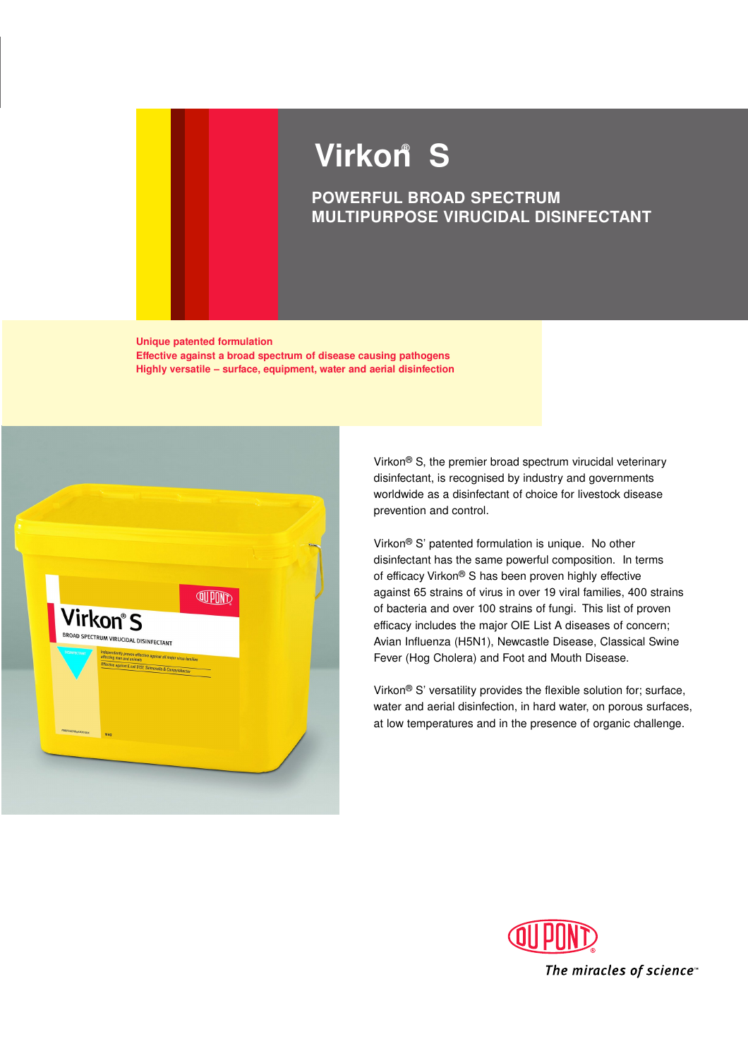# **Virkon S ®**

# **POWERFUL BROAD SPECTRUM MULTIPURPOSE VIRUCIDAL DISINFECTANT**

**Unique patented formulation Effective against a broad spectrum of disease causing pathogens Highly versatile – surface, equipment, water and aerial disinfection**



Virkon® S, the premier broad spectrum virucidal veterinary disinfectant, is recognised by industry and governments worldwide as a disinfectant of choice for livestock disease prevention and control.

Virkon® S' patented formulation is unique. No other disinfectant has the same powerful composition. In terms of efficacy Virkon® S has been proven highly effective against 65 strains of virus in over 19 viral families, 400 strains of bacteria and over 100 strains of fungi. This list of proven efficacy includes the major OIE List A diseases of concern; Avian Influenza (H5N1), Newcastle Disease, Classical Swine Fever (Hog Cholera) and Foot and Mouth Disease.

Virkon® S' versatility provides the flexible solution for; surface, water and aerial disinfection, in hard water, on porous surfaces, at low temperatures and in the presence of organic challenge.

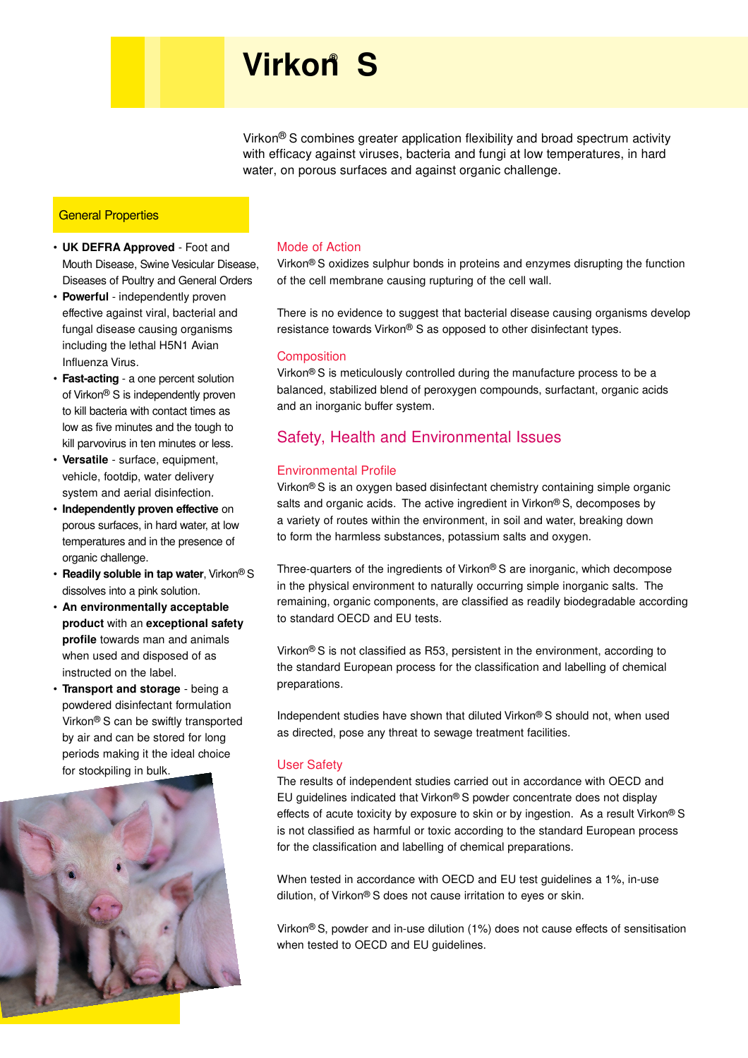# **Virkon S ®**

Virkon® S combines greater application flexibility and broad spectrum activity with efficacy against viruses, bacteria and fungi at low temperatures, in hard water, on porous surfaces and against organic challenge.

#### **General Properties**

- **UK DEFRA Approved** Foot and Mouth Disease, Swine Vesicular Disease, Diseases of Poultry and General Orders
- **Powerful**  independently proven effective against viral, bacterial and fungal disease causing organisms including the lethal H5N1 Avian Influenza Virus.
- **Fast-acting** a one percent solution of Virkon® S is independently proven to kill bacteria with contact times as low as five minutes and the tough to kill parvovirus in ten minutes or less.
- **Versatile** surface, equipment, vehicle, footdip, water delivery system and aerial disinfection.
- **Independently proven effective** on porous surfaces, in hard water, at low temperatures and in the presence of organic challenge.
- **Readily soluble in tap water**, Virkon® S dissolves into a pink solution.
- **An environmentally acceptable product** with an **exceptional safety profile** towards man and animals when used and disposed of as instructed on the label.
- **Transport and storage** being a powdered disinfectant formulation Virkon® S can be swiftly transported by air and can be stored for long periods making it the ideal choice for stockpiling in bulk.



#### Mode of Action

Virkon® S oxidizes sulphur bonds in proteins and enzymes disrupting the function of the cell membrane causing rupturing of the cell wall.

There is no evidence to suggest that bacterial disease causing organisms develop resistance towards Virkon® S as opposed to other disinfectant types.

#### **Composition**

Virkon® S is meticulously controlled during the manufacture process to be a balanced, stabilized blend of peroxygen compounds, surfactant, organic acids and an inorganic buffer system.

### Safety, Health and Environmental Issues

#### Environmental Profile

Virkon® S is an oxygen based disinfectant chemistry containing simple organic salts and organic acids. The active ingredient in Virkon® S, decomposes by a variety of routes within the environment, in soil and water, breaking down to form the harmless substances, potassium salts and oxygen.

Three-quarters of the ingredients of Virkon® S are inorganic, which decompose in the physical environment to naturally occurring simple inorganic salts. The remaining, organic components, are classified as readily biodegradable according to standard OECD and EU tests.

Virkon® S is not classified as R53, persistent in the environment, according to the standard European process for the classification and labelling of chemical preparations.

Independent studies have shown that diluted Virkon® S should not, when used as directed, pose any threat to sewage treatment facilities.

#### User Safety

The results of independent studies carried out in accordance with OECD and EU guidelines indicated that Virkon® S powder concentrate does not display effects of acute toxicity by exposure to skin or by ingestion. As a result Virkon<sup>®</sup> S is not classified as harmful or toxic according to the standard European process for the classification and labelling of chemical preparations.

When tested in accordance with OECD and EU test guidelines a 1%, in-use dilution, of Virkon® S does not cause irritation to eyes or skin.

Virkon® S, powder and in-use dilution (1%) does not cause effects of sensitisation when tested to OECD and EU guidelines.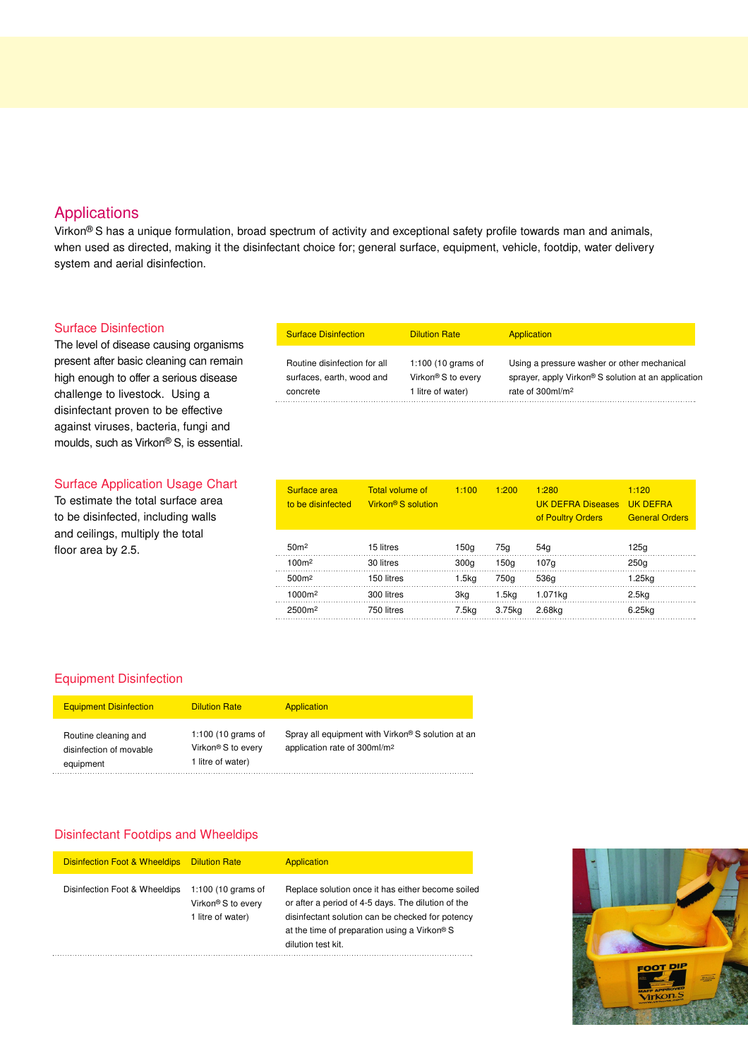### Applications

Virkon® S has a unique formulation, broad spectrum of activity and exceptional safety profile towards man and animals, when used as directed, making it the disinfectant choice for; general surface, equipment, vehicle, footdip, water delivery system and aerial disinfection.

#### Surface Disinfection

The level of disease causing organisms present after basic cleaning can remain high enough to offer a serious disease challenge to livestock. Using a disinfectant proven to be effective against viruses, bacteria, fungi and moulds, such as Virkon® S, is essential.

#### Surface Application Usage Chart

To estimate the total surface area to be disinfected, including walls and ceilings, multiply the total floor area by 2.5.

| <b>Surface Disinfection</b>  | <b>Dilution Rate</b> | Application                                         |
|------------------------------|----------------------|-----------------------------------------------------|
| Routine disinfection for all | 1:100 (10 grams of   | Using a pressure washer or other mechanical         |
| surfaces, earth, wood and    | Virkon® S to every   | sprayer, apply Virkon® S solution at an application |
| concrete                     | 1 litre of water)    | rate of 300ml/m <sup>2</sup>                        |

| Surface area<br>to be disinfected | <b>Total volume of</b><br>Virkon <sup>®</sup> S solution | 1:100             | 1:200             | 1:280<br><b>UK DEFRA Diseases</b><br>of Poultry Orders | 1:120<br><b>UK DEFRA</b><br><b>General Orders</b> |
|-----------------------------------|----------------------------------------------------------|-------------------|-------------------|--------------------------------------------------------|---------------------------------------------------|
| 50 <sub>m²</sub>                  | 15 litres                                                | 150g              | 75a               | 54 <sub>a</sub>                                        | 125g                                              |
| 100m <sup>2</sup>                 | 30 litres                                                | 300 <sub>q</sub>  | 150a              | 107q                                                   | 250 <sub>q</sub>                                  |
| 500m <sup>2</sup>                 | 150 litres                                               | 1.5 <sub>kq</sub> | 750g              | 536g                                                   | 1.25kg                                            |
| 1000m <sup>2</sup>                | 300 litres                                               | 3kg               | 1.5 <sub>kq</sub> | 1.071kg                                                | 2.5 <sub>kq</sub>                                 |
| 2500m <sup>2</sup>                | 750 litres                                               | 7.5kg             | 3.75kg            | 2.68kg                                                 | 6.25kg                                            |

#### Equipment Disinfection

| <b>Equipment Disinfection</b>                                | <b>Dilution Rate</b>                                                      | Application                                                                                   |
|--------------------------------------------------------------|---------------------------------------------------------------------------|-----------------------------------------------------------------------------------------------|
| Routine cleaning and<br>disinfection of movable<br>equipment | 1:100 (10 grams of<br>Virkon <sup>®</sup> S to every<br>1 litre of water) | Spray all equipment with Virkon® S solution at an<br>application rate of 300ml/m <sup>2</sup> |

#### Disinfectant Footdips and Wheeldips

| <b>Disinfection Foot &amp; Wheeldips</b> | <b>Dilution Rate</b>                                                      | Application                                                                                                                                                                                                                       |
|------------------------------------------|---------------------------------------------------------------------------|-----------------------------------------------------------------------------------------------------------------------------------------------------------------------------------------------------------------------------------|
| Disinfection Foot & Wheeldips            | 1:100 (10 grams of<br>Virkon <sup>®</sup> S to every<br>1 litre of water) | Replace solution once it has either become soiled<br>or after a period of 4-5 days. The dilution of the<br>disinfectant solution can be checked for potency<br>at the time of preparation using a Virkon® S<br>dilution test kit. |

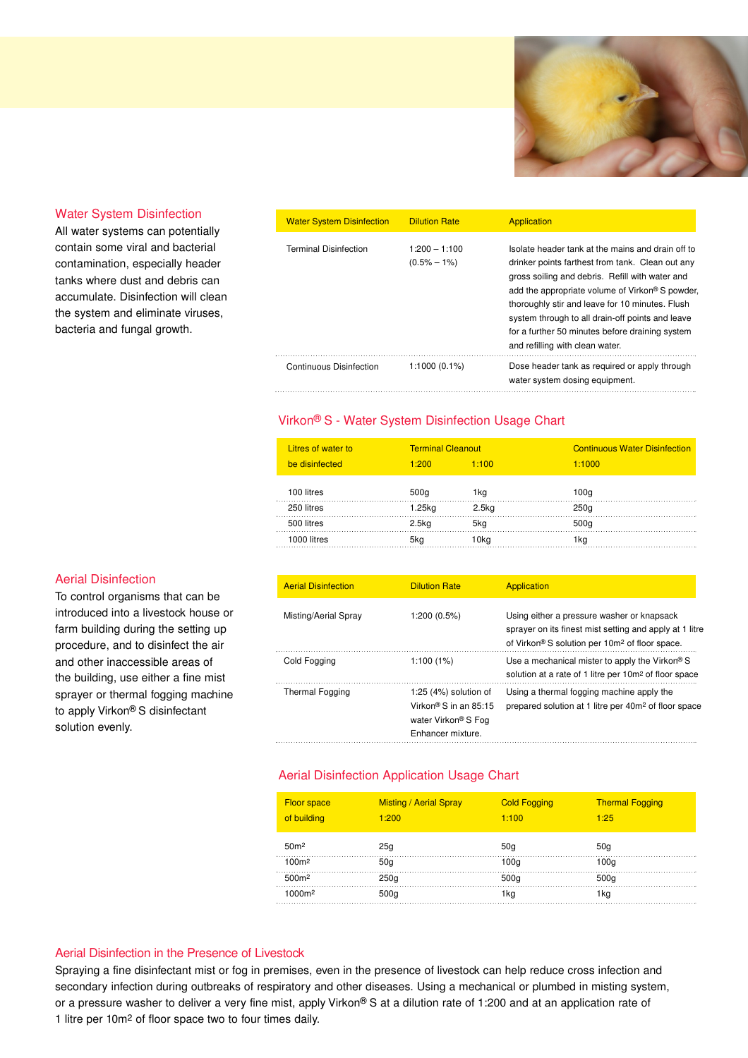

#### Water System Disinfection

All water systems can potentially contain some viral and bacterial contamination, especially header tanks where dust and debris can accumulate. Disinfection will clean the system and eliminate viruses, bacteria and fungal growth.

| <b>Water System Disinfection</b> | <b>Dilution Rate</b>               | Application                                                                                                                                                                                                                                                                                                                                                                                              |
|----------------------------------|------------------------------------|----------------------------------------------------------------------------------------------------------------------------------------------------------------------------------------------------------------------------------------------------------------------------------------------------------------------------------------------------------------------------------------------------------|
| <b>Terminal Disinfection</b>     | $1:200 - 1:100$<br>$(0.5\% - 1\%)$ | Isolate header tank at the mains and drain off to<br>drinker points farthest from tank. Clean out any<br>gross soiling and debris. Refill with water and<br>add the appropriate volume of Virkon® S powder,<br>thoroughly stir and leave for 10 minutes. Flush<br>system through to all drain-off points and leave<br>for a further 50 minutes before draining system<br>and refilling with clean water. |
| Continuous Disinfection          | $1:1000(0.1\%)$                    | Dose header tank as required or apply through<br>water system dosing equipment.                                                                                                                                                                                                                                                                                                                          |

#### Virkon® S - Water System Disinfection Usage Chart

| Litres of water to | <b>Terminal Cleanout</b> |                   | <b>Continuous Water Disinfection</b> |
|--------------------|--------------------------|-------------------|--------------------------------------|
| be disinfected     | 1:200                    | 1:100             | 1:1000                               |
| 100 litres         |                          |                   |                                      |
|                    | 500g                     | 1kg               | 100a                                 |
| 250 litres         | 1.25kg                   | 2.5 <sub>kq</sub> | 250 <sub>q</sub>                     |
| 500 litres         | 2.5 <sub>kq</sub>        | 5ka               | 500g                                 |
| 1000 litres        | 5ka                      | 10ka              | 1ka                                  |

#### Aerial Disinfection

To control organisms that can be introduced into a livestock house or farm building during the setting up procedure, and to disinfect the air and other inaccessible areas of the building, use either a fine mist sprayer or thermal fogging machine to apply Virkon® S disinfectant solution evenly.

| <b>Aerial Disinfection</b> | <b>Dilution Rate</b>                                                                                                   | Application                                                                                                                                                         |
|----------------------------|------------------------------------------------------------------------------------------------------------------------|---------------------------------------------------------------------------------------------------------------------------------------------------------------------|
| Misting/Aerial Spray       | 1:200 (0.5%)                                                                                                           | Using either a pressure washer or knapsack<br>sprayer on its finest mist setting and apply at 1 litre<br>of Virkon® S solution per 10m <sup>2</sup> of floor space. |
| Cold Fogging               | 1:100(1%)                                                                                                              | Use a mechanical mister to apply the Virkon® S<br>solution at a rate of 1 litre per 10m <sup>2</sup> of floor space                                                 |
| <b>Thermal Fogging</b>     | 1:25 $(4%)$ solution of<br>Virkon <sup>®</sup> S in an $85:15$<br>water Virkon <sup>®</sup> S Fog<br>Enhancer mixture. | Using a thermal fogging machine apply the<br>prepared solution at 1 litre per 40m <sup>2</sup> of floor space                                                       |

#### Aerial Disinfection Application Usage Chart

| <b>Floor space</b><br>of building | <b>Misting / Aerial Spray</b><br>1:200 | <b>Cold Fogging</b><br>1:100 | <b>Thermal Fogging</b><br>1:25 |
|-----------------------------------|----------------------------------------|------------------------------|--------------------------------|
| 50 <sup>m2</sup>                  | 25g                                    | 50g                          | 50 <sub>q</sub>                |
| 100m <sup>2</sup>                 | 50 <sub>q</sub>                        | 100 <sub>q</sub>             | 100a                           |
| 500m <sup>2</sup>                 | 250 <sub>q</sub>                       | 500 <sub>a</sub>             | 500q                           |
| ∩∩∩m2                             | 500a                                   | 1ka                          | 1kg                            |

#### Aerial Disinfection in the Presence of Livestock

Spraying a fine disinfectant mist or fog in premises, even in the presence of livestock can help reduce cross infection and secondary infection during outbreaks of respiratory and other diseases. Using a mechanical or plumbed in misting system, or a pressure washer to deliver a very fine mist, apply Virkon® S at a dilution rate of 1:200 and at an application rate of 1 litre per 10m2 of floor space two to four times daily.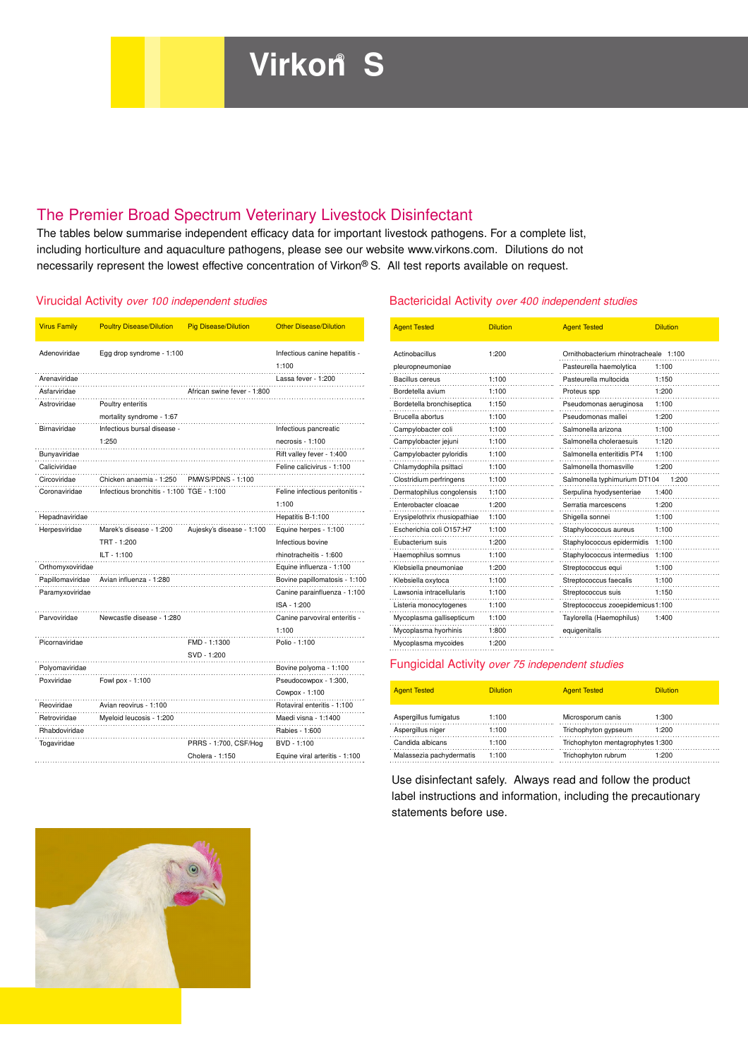# The Premier Broad Spectrum Veterinary Livestock Disinfectant

The tables below summarise independent efficacy data for important livestock pathogens. For a complete list, including horticulture and aquaculture pathogens, please see our website www.virkons.com. Dilutions do not necessarily represent the lowest effective concentration of Virkon® S. All test reports available on request.

| <b>Virus Family</b> | <b>Poultry Disease/Dilution</b>           | <b>Pig Disease/Dilution</b> | <b>Other Disease/Dilution</b>   | <b>Agent Tested</b>                             | <b>Dilution</b> | <b>Agent Tested</b>                  | <b>Dilution</b> |
|---------------------|-------------------------------------------|-----------------------------|---------------------------------|-------------------------------------------------|-----------------|--------------------------------------|-----------------|
| Adenoviridae        | Egg drop syndrome - 1:100                 |                             | Infectious canine hepatitis -   | Actinobacillus                                  | 1:200           | Ornithobacterium rhinotracheale 1:10 |                 |
|                     |                                           |                             | 1:100                           | pleuropneumoniae                                |                 | Pasteurella haemolytica              | 1:100           |
| Arenaviridae        |                                           |                             | Lassa fever - 1:200             | Bacillus cereus                                 | 1:100           | Pasteurella multocida                | 1:150           |
| Asfarviridae        |                                           | African swine fever - 1:800 |                                 | Bordetella avium                                | 1:100           | Proteus spp                          | 1:200           |
| Astroviridae        | Poultry enteritis                         |                             |                                 | Bordetella bronchiseptica                       | 1:150           | Pseudomonas aeruginosa               | 1:100           |
|                     | mortality syndrome - 1:67                 |                             |                                 | Brucella abortus                                | 1:100           | Pseudomonas mallei                   | 1:200           |
| Birnaviridae        | Infectious bursal disease -               |                             | Infectious pancreatic           | Campylobacter coli                              | 1:100           | Salmonella arizona                   | 1:100           |
|                     | 1:250                                     |                             | necrosis - 1:100                | Campylobacter jejuni                            | 1:100           | Salmonella choleraesuis              | 1:120           |
| Bunyaviridae        |                                           |                             | Rift valley fever - 1:400       | Campylobacter pyloridis                         | 1:100           | Salmonella enteritidis PT4           | 1:100           |
| Caliciviridae       |                                           |                             | Feline calicivirus - 1:100      | Chlamydophila psittaci                          | 1:100           | Salmonella thomasville               | 1:200           |
| Circoviridae        | Chicken anaemia - 1:250                   | <b>PMWS/PDNS - 1:100</b>    |                                 | Clostridium perfringens                         | .<br>1:100<br>. | Salmonella typhimurium DT104         | 1:2             |
| Coronaviridae       | Infectious bronchitis - 1:100 TGE - 1:100 |                             | Feline infectious peritonitis - | Dermatophilus congolensis                       | 1:100           | Serpulina hyodysenteriae             | 1:400           |
|                     |                                           |                             | 1:100                           | Enterobacter cloacae                            | 1:200           | Serratia marcescens                  | 1:200           |
| Hepadnaviridae      |                                           |                             | Hepatitis B-1:100               | Erysipelothrix rhusiopathiae                    | 1:100           | Shigella sonnei                      | 1:100           |
| Herpesviridae       | Marek's disease - 1:200                   | Aujesky's disease - 1:100   | Equine herpes - 1:100           | Escherichia coli O157:H7                        | 1:100           | Staphylococcus aureus                | 1:100           |
|                     | TRT - 1:200                               |                             | Infectious bovine               | Eubacterium suis                                | 1:200           | Staphylococcus epidermidis 1:100     |                 |
|                     | ILT - 1:100                               |                             | rhinotracheitis - 1:600         | Haemophilus somnus                              | 1:100           | Staphylococcus intermedius 1:100     |                 |
| Orthomyxoviridae    |                                           |                             | Equine influenza - 1:100        | Klebsiella pneumoniae                           | 1:200           | Streptococcus equi                   | 1:100           |
| Papillomaviridae    | Avian influenza - 1:280                   |                             | Bovine papillomatosis - 1:100   | Klebsiella oxytoca                              | 1:100           | Streptococcus faecalis               | 1:100           |
| Paramyxoviridae     |                                           |                             | Canine parainfluenza - 1:100    | Lawsonia intracellularis                        | 1:100           | Streptococcus suis                   | 1:150           |
|                     |                                           |                             | $ISA - 1:200$                   | Listeria monocytogenes                          | 1:100           | Streptococcus zooepidemicus1:100     |                 |
| Parvoviridae        | Newcastle disease - 1:280                 |                             | Canine parvoviral enteritis -   | Mycoplasma gallisepticum                        | .<br>1:100      | Taylorella (Haemophilus)             | 1:400           |
|                     |                                           |                             | 1:100                           | Mycoplasma hyorhinis                            | 1:800           | equigenitalis                        |                 |
| Picornaviridae      |                                           | FMD - 1:1300                | Polio - 1:100                   | Mycoplasma mycoides                             | 1:200           |                                      |                 |
|                     |                                           | SVD - 1:200                 |                                 |                                                 |                 |                                      |                 |
| Polyomaviridae      |                                           |                             | Bovine polyoma - 1:100          | Fungicidal Activity over 75 independent studies |                 |                                      |                 |
| Poxviridae          | Fowl pox - 1:100                          |                             | Pseudocowpox - 1:300,           |                                                 |                 |                                      |                 |
|                     |                                           |                             | Cowpox - 1:100                  | <b>Agent Tested</b>                             | <b>Dilution</b> | <b>Agent Tested</b>                  | <b>Dilution</b> |
| Reoviridae          | Avian reovirus - 1:100                    |                             | Rotaviral enteritis - 1:100     |                                                 |                 |                                      |                 |
| Retroviridae        | Myeloid leucosis - 1:200                  |                             | Maedi visna - 1:1400            | Aspergillus fumigatus                           | 1:100           | Microsporum canis                    | 1:300           |
| Rhabdoviridae       |                                           |                             | Rabies - 1:600                  | Aspergillus niger                               | 1:100           | Trichophyton gypseum                 | 1:200           |
| Togaviridae         |                                           | PRRS - 1:700, CSF/Hog       | BVD - 1:100                     | Candida albicans                                | 1:100           | Trichophyton mentagrophytes 1:300    |                 |
|                     |                                           | Cholera - 1:150             | Equine viral arteritis - 1:100  | Malassezia pachydermatis                        | 1:100           | Trichophyton rubrum                  | 1:200           |

#### Virucidal Activity over 100 independent studies Bactericidal Activity over 400 independent studies

| <b>Poultry Disease/Dilution</b>           | <b>Pig Disease/Dilution</b> | <b>Other Disease/Dilution</b>   | <b>Agent Tested</b>          | <b>Dilution</b> | <b>Agent Tested</b>                   | <b>Dilution</b> |
|-------------------------------------------|-----------------------------|---------------------------------|------------------------------|-----------------|---------------------------------------|-----------------|
| Egg drop syndrome - 1:100                 |                             | Infectious canine hepatitis -   | Actinobacillus               | 1:200           | Ornithobacterium rhinotracheale 1:100 |                 |
|                                           |                             | 1:100                           | pleuropneumoniae             |                 | Pasteurella haemolytica               | 1:100           |
|                                           |                             | Lassa fever - 1:200             | <b>Bacillus cereus</b>       | 1:100           | Pasteurella multocida                 | 1:150           |
|                                           | African swine fever - 1:800 |                                 | Bordetella avium             | 1:100           | Proteus spp                           | 1:200           |
| Poultry enteritis                         |                             |                                 | Bordetella bronchiseptica    | 1:150           | Pseudomonas aeruginosa                | 1:100           |
| mortality syndrome - 1:67                 |                             |                                 | Brucella abortus             | 1:100           | Pseudomonas mallei                    | 1:200           |
| Infectious bursal disease -               |                             | Infectious pancreatic           | Campylobacter coli           | 1:100           | Salmonella arizona                    | 1:100           |
| 1:250                                     |                             | $necrosis - 1:100$              | Campylobacter jejuni         | 1:100           | Salmonella choleraesuis               | 1:120           |
|                                           |                             | Rift valley fever - 1:400       | Campylobacter pyloridis      | 1:100           | Salmonella enteritidis PT4            | 1:100           |
|                                           |                             | Feline calicivirus - 1:100      | Chlamydophila psittaci       | 1:100           | Salmonella thomasville                | 1:200           |
| Chicken anaemia - 1:250                   | <b>PMWS/PDNS - 1:100</b>    |                                 | Clostridium perfringens      | 1:100           | Salmonella typhimurium DT104          | 1:200           |
| Infectious bronchitis - 1:100 TGE - 1:100 |                             | Feline infectious peritonitis - | Dermatophilus congolensis    | 1:100           | Serpulina hyodysenteriae              | 1:400           |
|                                           |                             | 1:100                           | Enterobacter cloacae         | 1:200           | Serratia marcescens                   | 1:200           |
|                                           |                             | Hepatitis B-1:100               | Erysipelothrix rhusiopathiae | 1:100           | Shigella sonnei                       | 1:100           |
| Marek's disease - 1:200                   | Aujesky's disease - 1:100   | Equine herpes - 1:100           | Escherichia coli O157:H7     | 1:100           | Staphylococcus aureus                 | 1:100           |
| TRT - 1:200                               |                             | Infectious bovine               | Eubacterium suis             | 1:200           | Staphylococcus epidermidis            | 1:100           |
| $ILT - 1:100$                             |                             | rhinotracheitis - 1:600         | Haemophilus somnus           | 1:100           | Staphylococcus intermedius            | 1:100           |
|                                           |                             | Equine influenza - 1:100        | Klebsiella pneumoniae        | 1:200           | Streptococcus equi                    | 1:100           |
| Avian influenza - 1:280                   |                             | Bovine papillomatosis - 1:100   | Klebsiella oxytoca           | 1:100           | Streptococcus faecalis                | 1:100           |
|                                           |                             | Canine parainfluenza - 1:100    | Lawsonia intracellularis     | 1:100           | Streptococcus suis                    | 1:150           |
|                                           |                             | ISA - 1:200                     | Listeria monocytogenes       | 1:100           | Streptococcus zooepidemicus1:100      |                 |
| Newcastle disease - 1:280                 |                             | Canine parvoviral enteritis -   | Mycoplasma gallisepticum     | 1:100           | Taylorella (Haemophilus)              | 1:400           |
|                                           |                             | 1:100                           | Mycoplasma hyorhinis         | 1:800           | equigenitalis                         |                 |
|                                           | FMD - 1:1300                | Polio - 1:100                   | Mycoplasma mycoides          | 1:200           |                                       |                 |
|                                           |                             |                                 |                              |                 |                                       |                 |

#### Fungicidal Activity over 75 independent studies

| Pseudocowpox - 1:300,          |                          |                 |                                   |                 |
|--------------------------------|--------------------------|-----------------|-----------------------------------|-----------------|
| Cowpox - 1:100                 | <b>Agent Tested</b>      | <b>Dilution</b> | <b>Agent Tested</b>               | <b>Dilution</b> |
| Rotaviral enteritis - 1:100    |                          |                 |                                   |                 |
| Maedi visna - 1:1400           | Aspergillus fumigatus    | 1:100           | Microsporum canis                 | 1:300           |
| Rabies - 1:600                 | Aspergillus niger        | 1:100           | Trichophyton gypseum              | 1:200           |
| BVD - 1:100                    | Candida albicans         | 1:100           | Trichophyton mentagrophytes 1:300 |                 |
| Equine viral arteritis - 1:100 | Malassezia pachydermatis | 1:100           | Trichophyton rubrum               | 1:200           |

Use disinfectant safely. Always read and follow the product label instructions and information, including the precautionary statements before use.